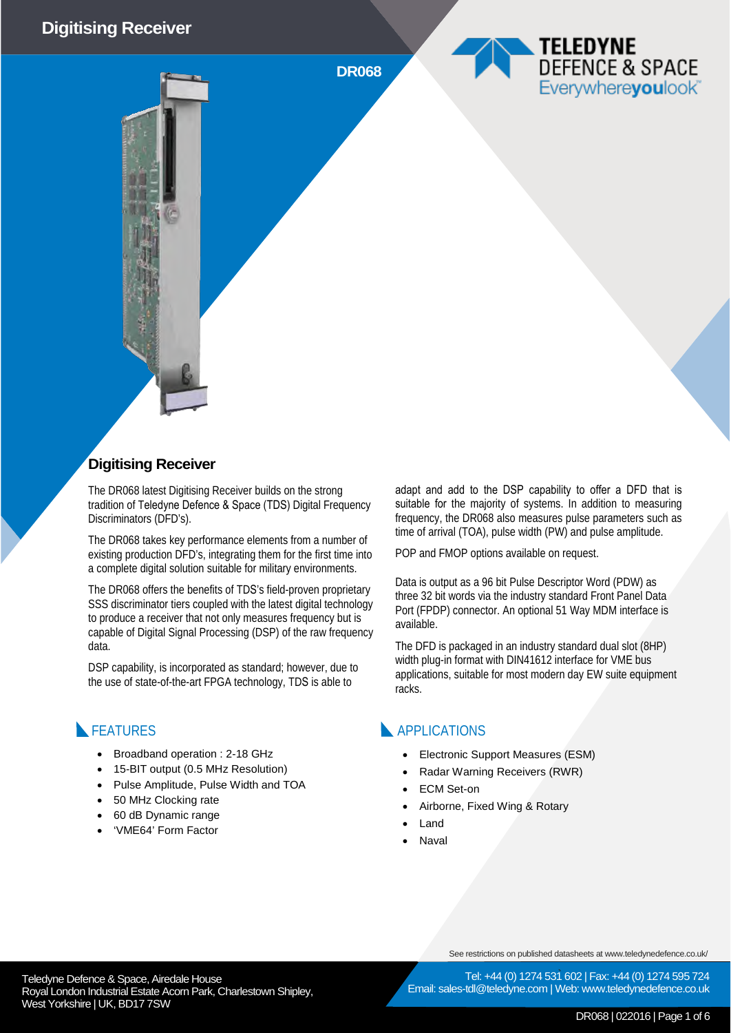#### **Digitising Receiver**

**DR068**

#### **Digitising Receiver**

The DR068 latest Digitising Receiver builds on the strong tradition of Teledyne Defence & Space (TDS) Digital Frequency Discriminators (DFD's).

The DR068 takes key performance elements from a number of existing production DFD's, integrating them for the first time into a complete digital solution suitable for military environments.

The DR068 offers the benefits of TDS's field-proven proprietary SSS discriminator tiers coupled with the latest digital technology to produce a receiver that not only measures frequency but is capable of Digital Signal Processing (DSP) of the raw frequency data.

DSP capability, is incorporated as standard; however, due to the use of state-of-the-art FPGA technology, TDS is able to

#### **FEATURES**

- Broadband operation : 2-18 GHz
- 15-BIT output (0.5 MHz Resolution)
- Pulse Amplitude, Pulse Width and TOA
- 50 MHz Clocking rate
- 60 dB Dynamic range
- 'VME64' Form Factor

adapt and add to the DSP capability to offer a DFD that is suitable for the majority of systems. In addition to measuring frequency, the DR068 also measures pulse parameters such as time of arrival (TOA), pulse width (PW) and pulse amplitude.

TELEDYNE

DEFENCE & SPACE Everywhereyoulook

POP and FMOP options available on request.

Data is output as a 96 bit Pulse Descriptor Word (PDW) as three 32 bit words via the industry standard Front Panel Data Port (FPDP) connector. An optional 51 Way MDM interface is available.

The DFD is packaged in an industry standard dual slot (8HP) width plug-in format with DIN41612 interface for VME bus applications, suitable for most modern day EW suite equipment racks.

#### **APPLICATIONS**

- Electronic Support Measures (ESM)
- Radar Warning Receivers (RWR)
- **ECM Set-on**
- Airborne, Fixed Wing & Rotary
- Land
- **Naval**

See restrictions on published datasheets at www.teledynedefence.co.uk/

Teledyne Defence & Space, Airedale House and the state of the telectricity of the Tel: +44 (0) 1274 531 Royal London Industrial Estate Acorn Park, Charlestown Shipley, West Yorkshire | UK, BD17 7SW

Tel: +44 (0) 1274 531 602 | Fax: +44 (0) 1274 595 724 Email: sales-tdl@teledyne.com | Web: www.teledynedefence.co.uk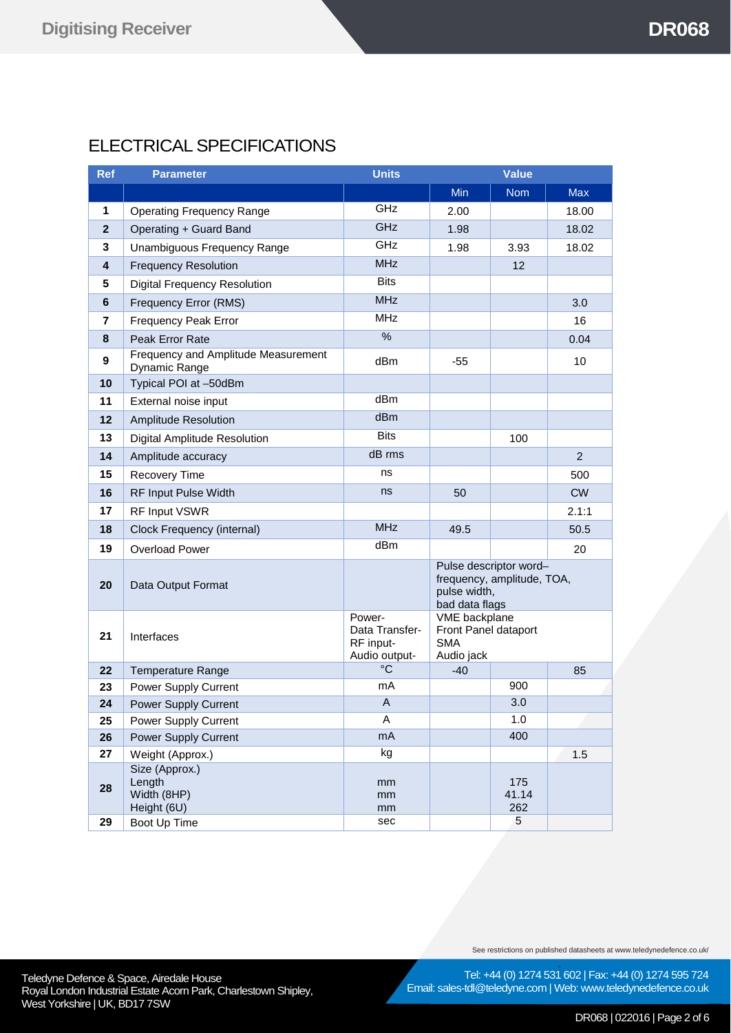# ELECTRICAL SPECIFICATIONS

| <b>Ref</b>     | <b>Parameter</b>                                     | <b>Units</b>                                           |                                                                                        | <b>Value</b>        |                |
|----------------|------------------------------------------------------|--------------------------------------------------------|----------------------------------------------------------------------------------------|---------------------|----------------|
|                |                                                      |                                                        | <b>Min</b>                                                                             | <b>Nom</b>          | <b>Max</b>     |
| 1              | <b>Operating Frequency Range</b>                     | GHz                                                    | 2.00                                                                                   |                     | 18.00          |
| $\overline{2}$ | Operating + Guard Band                               | <b>GHz</b>                                             | 1.98                                                                                   |                     | 18.02          |
| 3              | Unambiguous Frequency Range                          | GHz                                                    | 1.98                                                                                   | 3.93                | 18.02          |
| 4              | <b>Frequency Resolution</b>                          | <b>MHz</b>                                             |                                                                                        | 12                  |                |
| 5              | <b>Digital Frequency Resolution</b>                  | <b>Bits</b>                                            |                                                                                        |                     |                |
| 6              | Frequency Error (RMS)                                | <b>MHz</b>                                             |                                                                                        |                     | 3.0            |
| 7              | <b>Frequency Peak Error</b>                          | <b>MHz</b>                                             |                                                                                        |                     | 16             |
| 8              | Peak Error Rate                                      | $\%$                                                   |                                                                                        |                     | 0.04           |
| 9              | Frequency and Amplitude Measurement<br>Dynamic Range | dBm                                                    | -55                                                                                    |                     | 10             |
| 10             | Typical POI at -50dBm                                |                                                        |                                                                                        |                     |                |
| 11             | External noise input                                 | dBm                                                    |                                                                                        |                     |                |
| 12             | <b>Amplitude Resolution</b>                          | dBm                                                    |                                                                                        |                     |                |
| 13             | Digital Amplitude Resolution                         | <b>Bits</b>                                            |                                                                                        | 100                 |                |
| 14             | Amplitude accuracy                                   | dB rms                                                 |                                                                                        |                     | $\overline{2}$ |
| 15             | <b>Recovery Time</b>                                 | ns                                                     |                                                                                        |                     | 500            |
| 16             | RF Input Pulse Width                                 | ns                                                     | 50                                                                                     |                     | <b>CW</b>      |
| 17             | RF Input VSWR                                        |                                                        |                                                                                        |                     | 2.1:1          |
| 18             | Clock Frequency (internal)                           | <b>MHz</b>                                             | 49.5                                                                                   |                     | 50.5           |
| 19             | <b>Overload Power</b>                                | dBm                                                    |                                                                                        |                     | 20             |
| 20             | Data Output Format                                   |                                                        | Pulse descriptor word-<br>frequency, amplitude, TOA,<br>pulse width,<br>bad data flags |                     |                |
| 21             | Interfaces                                           | Power-<br>Data Transfer-<br>RF input-<br>Audio output- | VME backplane<br>Front Panel dataport<br><b>SMA</b><br>Audio jack                      |                     |                |
| 22             | <b>Temperature Range</b>                             | $^{\circ}C$                                            | $-40$                                                                                  |                     | 85             |
| 23             | Power Supply Current                                 | mA                                                     |                                                                                        | 900                 |                |
| 24             | Power Supply Current                                 | $\overline{A}$                                         |                                                                                        | 3.0                 |                |
| 25             | <b>Power Supply Current</b>                          | A                                                      |                                                                                        | 1.0                 |                |
| 26             | Power Supply Current                                 | mA                                                     |                                                                                        | 400                 |                |
| 27             | Weight (Approx.)<br>Size (Approx.)                   | kg                                                     |                                                                                        |                     | 1.5            |
| 28             | Length<br>Width (8HP)<br>Height (6U)                 | mm<br>mm<br>mm                                         |                                                                                        | 175<br>41.14<br>262 |                |
| 29             | Boot Up Time                                         | sec                                                    |                                                                                        | 5                   |                |

See restrictions on published datasheets at www.teledynedefence.co.uk/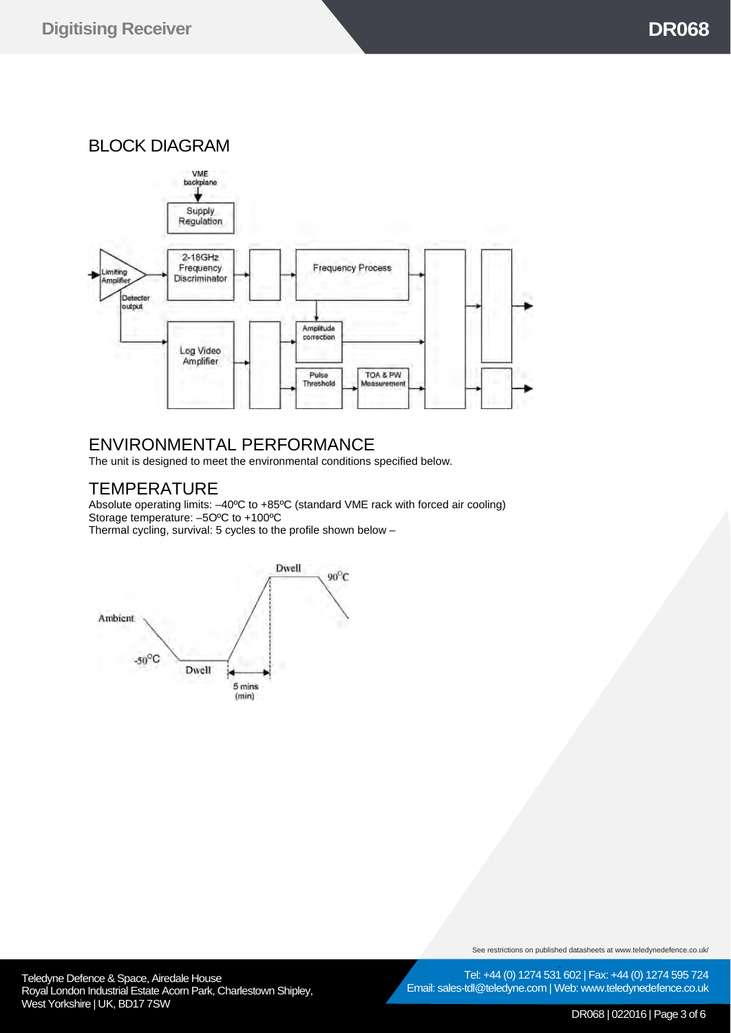BLOCK DIAGRAM



## ENVIRONMENTAL PERFORMANCE

The unit is designed to meet the environmental conditions specified below.

# **TEMPERATURE**

Absolute operating limits: –40ºC to +85ºC (standard VME rack with forced air cooling) Storage temperature: –5OºC to +100ºC Thermal cycling, survival: 5 cycles to the profile shown below –



See restrictions on published datasheets at www.teledynedefence.co.uk/

Teledyne Defence & Space, Airedale House and the contract of the Contract of Tel: +44 (0) 1274 531 Royal London Industrial Estate Acorn Park, Charlestown Shipley, West Yorkshire | UK, BD17 7SW



DR068 | 022016 | Page 3 of 6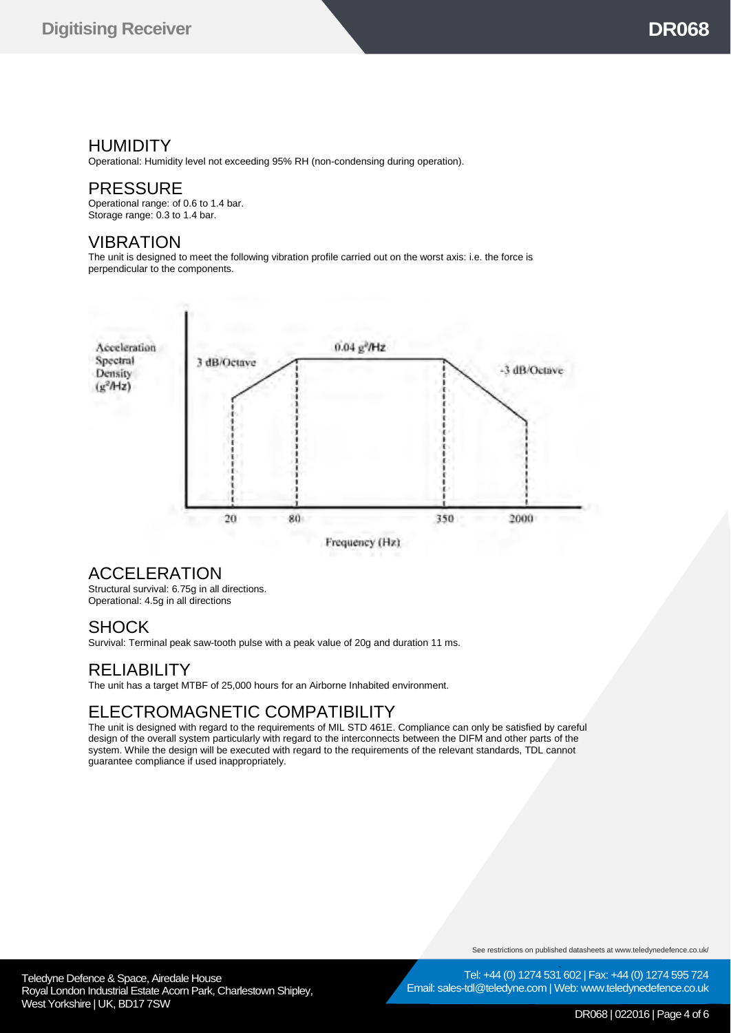## **HUMIDITY**

Operational: Humidity level not exceeding 95% RH (non-condensing during operation).

## PRESSURE

Operational range: of 0.6 to 1.4 bar. Storage range: 0.3 to 1.4 bar.

#### VIBRATION

The unit is designed to meet the following vibration profile carried out on the worst axis: i.e. the force is perpendicular to the components.



Frequency (Hz)

## ACCELERATION

Structural survival: 6.75g in all directions. Operational: 4.5g in all directions

#### **SHOCK**

Survival: Terminal peak saw-tooth pulse with a peak value of 20g and duration 11 ms.

#### **RELIABILITY**

The unit has a target MTBF of 25,000 hours for an Airborne Inhabited environment.

# ELECTROMAGNETIC COMPATIBILITY

The unit is designed with regard to the requirements of MIL STD 461E. Compliance can only be satisfied by careful design of the overall system particularly with regard to the interconnects between the DIFM and other parts of the system. While the design will be executed with regard to the requirements of the relevant standards, TDL cannot guarantee compliance if used inappropriately.

See restrictions on published datasheets at www.teledynedefence.co.uk/



#### DR068 | 022016 | Page 4 of 6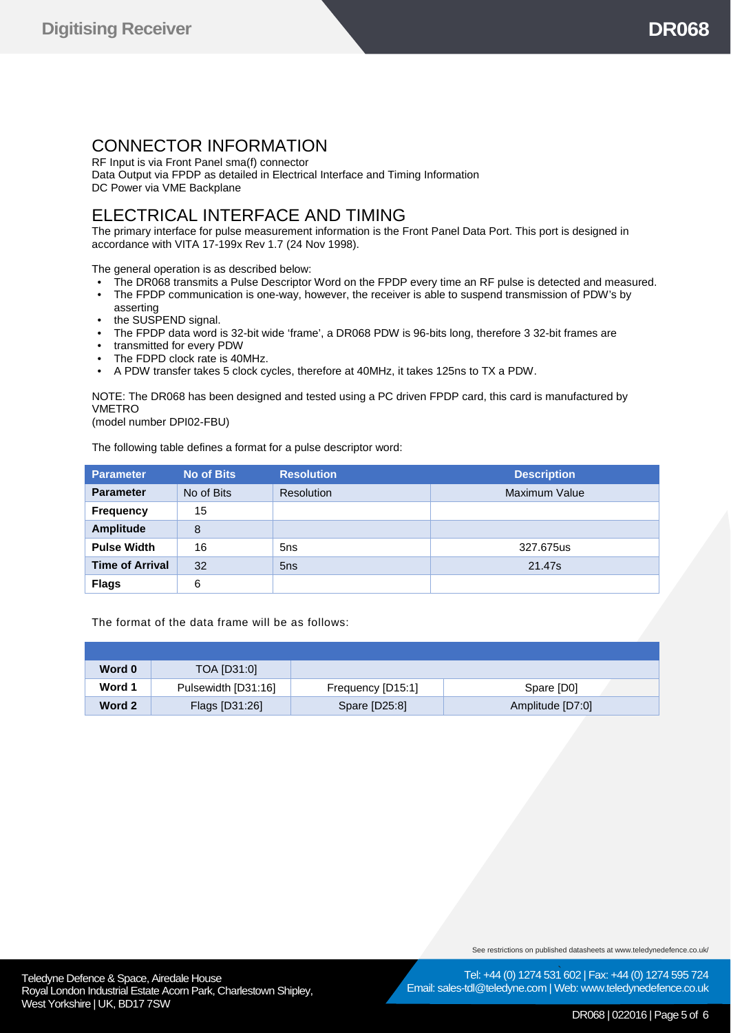# CONNECTOR INFORMATION

RF Input is via Front Panel sma(f) connector Data Output via FPDP as detailed in Electrical Interface and Timing Information DC Power via VME Backplane

## ELECTRICAL INTERFACE AND TIMING

The primary interface for pulse measurement information is the Front Panel Data Port. This port is designed in accordance with VITA 17-199x Rev 1.7 (24 Nov 1998).

The general operation is as described below:

- The DR068 transmits a Pulse Descriptor Word on the FPDP every time an RF pulse is detected and measured.
- The FPDP communication is one-way, however, the receiver is able to suspend transmission of PDW's by asserting
- the SUSPEND signal.
- The FPDP data word is 32-bit wide 'frame', a DR068 PDW is 96-bits long, therefore 3 32-bit frames are
- transmitted for every PDW
- The FDPD clock rate is 40MHz.
- A PDW transfer takes 5 clock cycles, therefore at 40MHz, it takes 125ns to TX a PDW.

NOTE: The DR068 has been designed and tested using a PC driven FPDP card, this card is manufactured by VMETRO

(model number DPI02-FBU)

The following table defines a format for a pulse descriptor word:

| <b>Parameter</b>       | <b>No of Bits</b> | <b>Resolution</b> | <b>Description</b> |
|------------------------|-------------------|-------------------|--------------------|
| <b>Parameter</b>       | No of Bits        | <b>Resolution</b> | Maximum Value      |
| <b>Frequency</b>       | 15                |                   |                    |
| <b>Amplitude</b>       | 8                 |                   |                    |
| <b>Pulse Width</b>     | 16                | 5 <sub>ns</sub>   | 327.675us          |
| <b>Time of Arrival</b> | 32                | 5 <sub>ns</sub>   | 21.47s             |
| <b>Flags</b>           | 6                 |                   |                    |

The format of the data frame will be as follows:

| Word 0 | TOA [D31:0]         |                   |                  |
|--------|---------------------|-------------------|------------------|
| Word 1 | Pulsewidth [D31:16] | Frequency [D15:1] | Spare [D0]       |
| Word 2 | Flags [D31:26]      | Spare [D25:8]     | Amplitude [D7:0] |

See restrictions on published datasheets at www.teledynedefence.co.uk/

Tel: +44 (0) 1274 531 602 | Fax: +44 (0) 1274 595 724 Email: sales-tdl@teledyne.com | Web: www.teledynedefence.co.uk